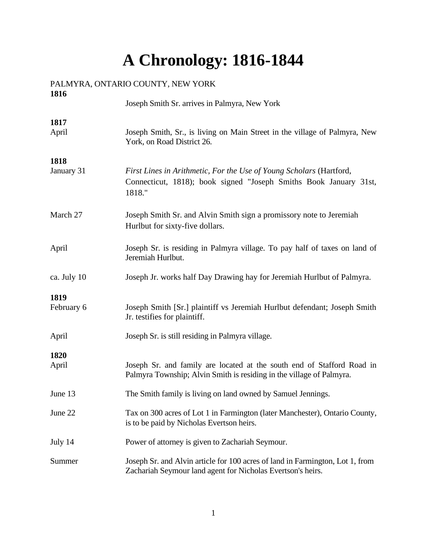# **A Chronology: 1816-1844**

| 1816        |                                                                                                                                                    |
|-------------|----------------------------------------------------------------------------------------------------------------------------------------------------|
|             | Joseph Smith Sr. arrives in Palmyra, New York                                                                                                      |
| 1817        |                                                                                                                                                    |
| April       | Joseph Smith, Sr., is living on Main Street in the village of Palmyra, New<br>York, on Road District 26.                                           |
| 1818        |                                                                                                                                                    |
| January 31  | First Lines in Arithmetic, For the Use of Young Scholars (Hartford,<br>Connecticut, 1818); book signed "Joseph Smiths Book January 31st,<br>1818." |
| March 27    | Joseph Smith Sr. and Alvin Smith sign a promissory note to Jeremiah<br>Hurlbut for sixty-five dollars.                                             |
| April       | Joseph Sr. is residing in Palmyra village. To pay half of taxes on land of<br>Jeremiah Hurlbut.                                                    |
| ca. July 10 | Joseph Jr. works half Day Drawing hay for Jeremiah Hurlbut of Palmyra.                                                                             |
| 1819        |                                                                                                                                                    |
| February 6  | Joseph Smith [Sr.] plaintiff vs Jeremiah Hurlbut defendant; Joseph Smith<br>Jr. testifies for plaintiff.                                           |
| April       | Joseph Sr. is still residing in Palmyra village.                                                                                                   |
| 1820        |                                                                                                                                                    |
| April       | Joseph Sr. and family are located at the south end of Stafford Road in<br>Palmyra Township; Alvin Smith is residing in the village of Palmyra.     |
| June 13     | The Smith family is living on land owned by Samuel Jennings.                                                                                       |
| June 22     | Tax on 300 acres of Lot 1 in Farmington (later Manchester), Ontario County,<br>is to be paid by Nicholas Evertson heirs.                           |
| July 14     | Power of attorney is given to Zachariah Seymour.                                                                                                   |
| Summer      | Joseph Sr. and Alvin article for 100 acres of land in Farmington, Lot 1, from<br>Zachariah Seymour land agent for Nicholas Evertson's heirs.       |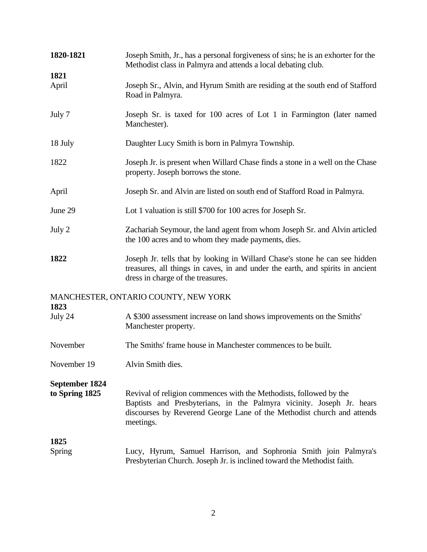| 1820-1821                               | Joseph Smith, Jr., has a personal forgiveness of sins; he is an exhorter for the<br>Methodist class in Palmyra and attends a local debating club.                                                                                  |
|-----------------------------------------|------------------------------------------------------------------------------------------------------------------------------------------------------------------------------------------------------------------------------------|
| 1821<br>April                           | Joseph Sr., Alvin, and Hyrum Smith are residing at the south end of Stafford<br>Road in Palmyra.                                                                                                                                   |
| July 7                                  | Joseph Sr. is taxed for 100 acres of Lot 1 in Farmington (later named<br>Manchester).                                                                                                                                              |
| 18 July                                 | Daughter Lucy Smith is born in Palmyra Township.                                                                                                                                                                                   |
| 1822                                    | Joseph Jr. is present when Willard Chase finds a stone in a well on the Chase<br>property. Joseph borrows the stone.                                                                                                               |
| April                                   | Joseph Sr. and Alvin are listed on south end of Stafford Road in Palmyra.                                                                                                                                                          |
| June 29                                 | Lot 1 valuation is still \$700 for 100 acres for Joseph Sr.                                                                                                                                                                        |
| July 2                                  | Zachariah Seymour, the land agent from whom Joseph Sr. and Alvin articled<br>the 100 acres and to whom they made payments, dies.                                                                                                   |
| 1822                                    | Joseph Jr. tells that by looking in Willard Chase's stone he can see hidden<br>treasures, all things in caves, in and under the earth, and spirits in ancient<br>dress in charge of the treasures.                                 |
| 1823                                    | MANCHESTER, ONTARIO COUNTY, NEW YORK                                                                                                                                                                                               |
| July 24                                 | A \$300 assessment increase on land shows improvements on the Smiths'<br>Manchester property.                                                                                                                                      |
| November                                | The Smiths' frame house in Manchester commences to be built.                                                                                                                                                                       |
| November 19                             | Alvin Smith dies.                                                                                                                                                                                                                  |
| <b>September 1824</b><br>to Spring 1825 | Revival of religion commences with the Methodists, followed by the<br>Baptists and Presbyterians, in the Palmyra vicinity. Joseph Jr. hears<br>discourses by Reverend George Lane of the Methodist church and attends<br>meetings. |
| 1825                                    |                                                                                                                                                                                                                                    |
| Spring                                  | Lucy, Hyrum, Samuel Harrison, and Sophronia Smith join Palmyra's<br>Presbyterian Church. Joseph Jr. is inclined toward the Methodist faith.                                                                                        |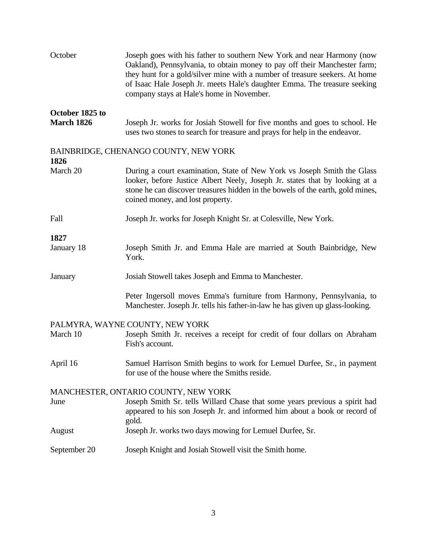| October         | Joseph goes with his father to southern New York and near Harmony (now<br>Oakland), Pennsylvania, to obtain money to pay off their Manchester farm;<br>they hunt for a gold/silver mine with a number of treasure seekers. At home<br>of Isaac Hale Joseph Jr. meets Hale's daughter Emma. The treasure seeking<br>company stays at Hale's home in November. |
|-----------------|--------------------------------------------------------------------------------------------------------------------------------------------------------------------------------------------------------------------------------------------------------------------------------------------------------------------------------------------------------------|
| October 1825 to |                                                                                                                                                                                                                                                                                                                                                              |
| March 1826      | Joseph Jr. works for Josiah Stowell for five months and goes to school. He<br>uses two stones to search for treasure and prays for help in the endeavor.                                                                                                                                                                                                     |
| 1826            | BAINBRIDGE, CHENANGO COUNTY, NEW YORK                                                                                                                                                                                                                                                                                                                        |
| March 20        | During a court examination, State of New York vs Joseph Smith the Glass<br>looker, before Justice Albert Neely, Joseph Jr. states that by looking at a<br>stone he can discover treasures hidden in the bowels of the earth, gold mines,<br>coined money, and lost property.                                                                                 |
| Fall            | Joseph Jr. works for Joseph Knight Sr. at Colesville, New York.                                                                                                                                                                                                                                                                                              |
| 1827            |                                                                                                                                                                                                                                                                                                                                                              |
| January 18      | Joseph Smith Jr. and Emma Hale are married at South Bainbridge, New<br>York.                                                                                                                                                                                                                                                                                 |
| January         | Josiah Stowell takes Joseph and Emma to Manchester.                                                                                                                                                                                                                                                                                                          |
|                 | Peter Ingersoll moves Emma's furniture from Harmony, Pennsylvania, to<br>Manchester. Joseph Jr. tells his father-in-law he has given up glass-looking.                                                                                                                                                                                                       |
|                 | PALMYRA, WAYNE COUNTY, NEW YORK                                                                                                                                                                                                                                                                                                                              |
| March 10        | Joseph Smith Jr. receives a receipt for credit of four dollars on Abraham<br>Fish's account.                                                                                                                                                                                                                                                                 |
| April 16        | Samuel Harrison Smith begins to work for Lemuel Durfee, Sr., in payment<br>for use of the house where the Smiths reside.                                                                                                                                                                                                                                     |
|                 | MANCHESTER, ONTARIO COUNTY, NEW YORK                                                                                                                                                                                                                                                                                                                         |
| June            | Joseph Smith Sr. tells Willard Chase that some years previous a spirit had<br>appeared to his son Joseph Jr. and informed him about a book or record of                                                                                                                                                                                                      |
| August          | gold.<br>Joseph Jr. works two days mowing for Lemuel Durfee, Sr.                                                                                                                                                                                                                                                                                             |
| September 20    | Joseph Knight and Josiah Stowell visit the Smith home.                                                                                                                                                                                                                                                                                                       |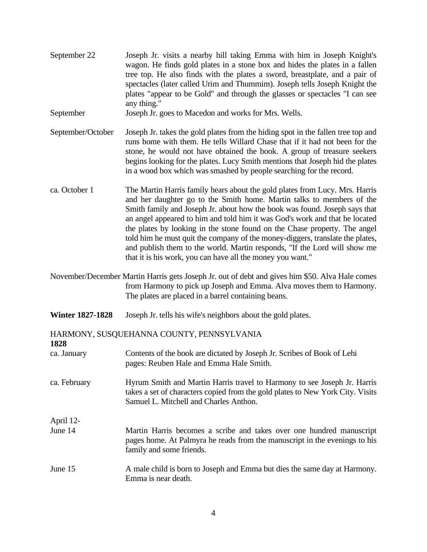| September 22            | Joseph Jr. visits a nearby hill taking Emma with him in Joseph Knight's<br>wagon. He finds gold plates in a stone box and hides the plates in a fallen<br>tree top. He also finds with the plates a sword, breastplate, and a pair of<br>spectacles (later called Urim and Thummim). Joseph tells Joseph Knight the<br>plates "appear to be Gold" and through the glasses or spectacles "I can see<br>any thing."                                                                                                                                                                                                          |
|-------------------------|----------------------------------------------------------------------------------------------------------------------------------------------------------------------------------------------------------------------------------------------------------------------------------------------------------------------------------------------------------------------------------------------------------------------------------------------------------------------------------------------------------------------------------------------------------------------------------------------------------------------------|
| September               | Joseph Jr. goes to Macedon and works for Mrs. Wells.                                                                                                                                                                                                                                                                                                                                                                                                                                                                                                                                                                       |
| September/October       | Joseph Jr. takes the gold plates from the hiding spot in the fallen tree top and<br>runs home with them. He tells Willard Chase that if it had not been for the<br>stone, he would not have obtained the book. A group of treasure seekers<br>begins looking for the plates. Lucy Smith mentions that Joseph hid the plates<br>in a wood box which was smashed by people searching for the record.                                                                                                                                                                                                                         |
| ca. October 1           | The Martin Harris family hears about the gold plates from Lucy. Mrs. Harris<br>and her daughter go to the Smith home. Martin talks to members of the<br>Smith family and Joseph Jr. about how the book was found. Joseph says that<br>an angel appeared to him and told him it was God's work and that he located<br>the plates by looking in the stone found on the Chase property. The angel<br>told him he must quit the company of the money-diggers, translate the plates,<br>and publish them to the world. Martin responds, "If the Lord will show me<br>that it is his work, you can have all the money you want." |
|                         | November/December Martin Harris gets Joseph Jr. out of debt and gives him \$50. Alva Hale comes<br>from Harmony to pick up Joseph and Emma. Alva moves them to Harmony.<br>The plates are placed in a barrel containing beans.                                                                                                                                                                                                                                                                                                                                                                                             |
| <b>Winter 1827-1828</b> | Joseph Jr. tells his wife's neighbors about the gold plates.                                                                                                                                                                                                                                                                                                                                                                                                                                                                                                                                                               |
| 1828                    | HARMONY, SUSQUEHANNA COUNTY, PENNSYLVANIA                                                                                                                                                                                                                                                                                                                                                                                                                                                                                                                                                                                  |
| ca. January             | Contents of the book are dictated by Joseph Jr. Scribes of Book of Lehi<br>pages: Reuben Hale and Emma Hale Smith.                                                                                                                                                                                                                                                                                                                                                                                                                                                                                                         |
| ca. February            | Hyrum Smith and Martin Harris travel to Harmony to see Joseph Jr. Harris<br>takes a set of characters copied from the gold plates to New York City. Visits<br>Samuel L. Mitchell and Charles Anthon.                                                                                                                                                                                                                                                                                                                                                                                                                       |
| April 12-<br>June 14    | Martin Harris becomes a scribe and takes over one hundred manuscript<br>pages home. At Palmyra he reads from the manuscript in the evenings to his<br>family and some friends.                                                                                                                                                                                                                                                                                                                                                                                                                                             |
| June 15                 | A male child is born to Joseph and Emma but dies the same day at Harmony.<br>Emma is near death.                                                                                                                                                                                                                                                                                                                                                                                                                                                                                                                           |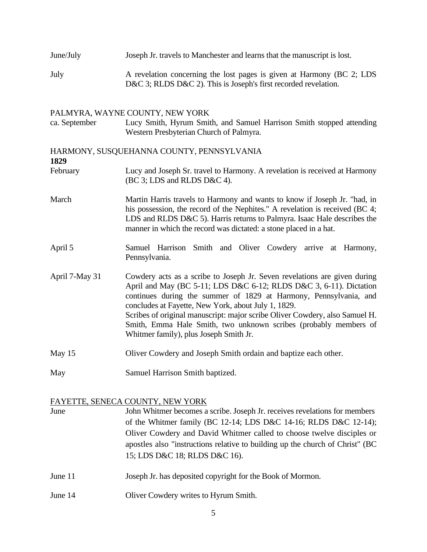| June/July | Joseph Jr. travels to Manchester and learns that the manuscript is lost. |
|-----------|--------------------------------------------------------------------------|
| July      | A revelation concerning the lost pages is given at Harmony (BC 2; LDS    |

D&C 3; RLDS D&C 2). This is Joseph's first recorded revelation.

## PALMYRA, WAYNE COUNTY, NEW YORK

ca. September Lucy Smith, Hyrum Smith, and Samuel Harrison Smith stopped attending Western Presbyterian Church of Palmyra.

## HARMONY, SUSQUEHANNA COUNTY, PENNSYLVANIA **1829**

February Lucy and Joseph Sr. travel to Harmony. A revelation is received at Harmony (BC 3; LDS and RLDS D&C 4).

- March Martin Harris travels to Harmony and wants to know if Joseph Jr. "had, in his possession, the record of the Nephites." A revelation is received (BC 4; LDS and RLDS D&C 5). Harris returns to Palmyra. Isaac Hale describes the manner in which the record was dictated: a stone placed in a hat.
- April 5 Samuel Harrison Smith and Oliver Cowdery arrive at Harmony, Pennsylvania.
- April 7-May 31 Cowdery acts as a scribe to Joseph Jr. Seven revelations are given during April and May (BC 5-11; LDS D&C 6-12; RLDS D&C 3, 6-11). Dictation continues during the summer of 1829 at Harmony, Pennsylvania, and concludes at Fayette, New York, about July 1, 1829. Scribes of original manuscript: major scribe Oliver Cowdery, also Samuel H. Smith, Emma Hale Smith, two unknown scribes (probably members of Whitmer family), plus Joseph Smith Jr.
- May 15 Oliver Cowdery and Joseph Smith ordain and baptize each other.
- May Samuel Harrison Smith baptized.

## FAYETTE, SENECA COUNTY, NEW YORK

June John Whitmer becomes a scribe. Joseph Jr. receives revelations for members of the Whitmer family (BC 12-14; LDS D&C 14-16; RLDS D&C 12-14); Oliver Cowdery and David Whitmer called to choose twelve disciples or apostles also "instructions relative to building up the church of Christ" (BC 15; LDS D&C 18; RLDS D&C 16).

- June 11 Joseph Jr. has deposited copyright for the Book of Mormon.
- June 14 Oliver Cowdery writes to Hyrum Smith.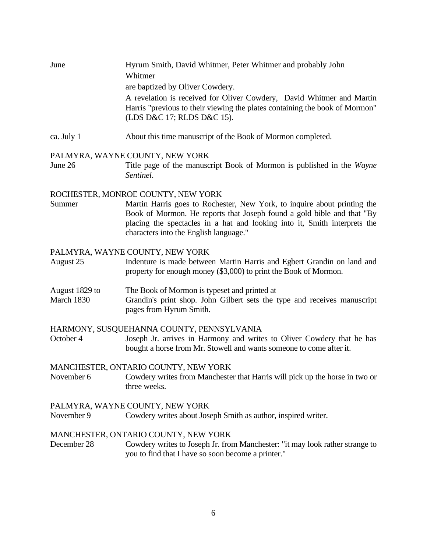| June | Hyrum Smith, David Whitmer, Peter Whitmer and probably John                 |
|------|-----------------------------------------------------------------------------|
|      | Whitmer                                                                     |
|      | are baptized by Oliver Cowdery.                                             |
|      | A revelation is received for Oliver Cowdery, David Whitmer and Martin       |
|      | Harris "previous to their viewing the plates containing the book of Mormon" |
|      | (LDS D&C 17; RLDS D&C 15).                                                  |
|      |                                                                             |

ca. July 1 About this time manuscript of the Book of Mormon completed.

## PALMYRA, WAYNE COUNTY, NEW YORK

June 26 Title page of the manuscript Book of Mormon is published in the *Wayne Sentinel*.

## ROCHESTER, MONROE COUNTY, NEW YORK

Summer Martin Harris goes to Rochester, New York, to inquire about printing the Book of Mormon. He reports that Joseph found a gold bible and that "By placing the spectacles in a hat and looking into it, Smith interprets the characters into the English language."

## PALMYRA, WAYNE COUNTY, NEW YORK

August 25 Indenture is made between Martin Harris and Egbert Grandin on land and property for enough money (\$3,000) to print the Book of Mormon.

#### August 1829 to The Book of Mormon is typeset and printed at

March 1830 Grandin's print shop. John Gilbert sets the type and receives manuscript pages from Hyrum Smith.

#### HARMONY, SUSQUEHANNA COUNTY, PENNSYLVANIA

October 4 Joseph Jr. arrives in Harmony and writes to Oliver Cowdery that he has bought a horse from Mr. Stowell and wants someone to come after it.

#### MANCHESTER, ONTARIO COUNTY, NEW YORK

November 6 Cowdery writes from Manchester that Harris will pick up the horse in two or three weeks.

#### PALMYRA, WAYNE COUNTY, NEW YORK

November 9 Cowdery writes about Joseph Smith as author, inspired writer.

#### MANCHESTER, ONTARIO COUNTY, NEW YORK

December 28 Cowdery writes to Joseph Jr. from Manchester: "it may look rather strange to you to find that I have so soon become a printer."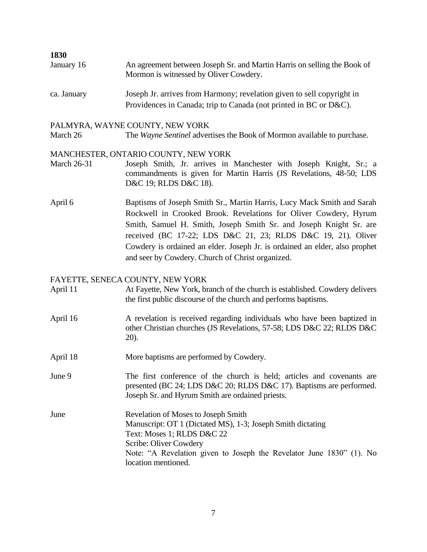| 1850       |                                                                                                                    |
|------------|--------------------------------------------------------------------------------------------------------------------|
| January 16 | An agreement between Joseph Sr. and Martin Harris on selling the Book of<br>Mormon is witnessed by Oliver Cowdery. |
|            |                                                                                                                    |

ca. January Joseph Jr. arrives from Harmony; revelation given to sell copyright in Providences in Canada; trip to Canada (not printed in BC or D&C).

## PALMYRA, WAYNE COUNTY, NEW YORK

**1830**

March 26 The *Wayne Sentinel* advertises the Book of Mormon available to purchase.

## MANCHESTER, ONTARIO COUNTY, NEW YORK

- March 26-31 Joseph Smith, Jr. arrives in Manchester with Joseph Knight, Sr.; a commandments is given for Martin Harris (JS Revelations, 48-50; LDS D&C 19; RLDS D&C 18).
- April 6 Baptisms of Joseph Smith Sr., Martin Harris, Lucy Mack Smith and Sarah Rockwell in Crooked Brook. Revelations for Oliver Cowdery, Hyrum Smith, Samuel H. Smith, Joseph Smith Sr. and Joseph Knight Sr. are received (BC 17-22; LDS D&C 21, 23; RLDS D&C 19, 21). Oliver Cowdery is ordained an elder. Joseph Jr. is ordained an elder, also prophet and seer by Cowdery. Church of Christ organized.

#### FAYETTE, SENECA COUNTY, NEW YORK

- April 11 At Fayette, New York, branch of the church is established. Cowdery delivers the first public discourse of the church and performs baptisms.
- April 16 A revelation is received regarding individuals who have been baptized in other Christian churches (JS Revelations, 57-58; LDS D&C 22; RLDS D&C 20).
- April 18 More baptisms are performed by Cowdery.

June 9 The first conference of the church is held; articles and covenants are presented (BC 24; LDS D&C 20; RLDS D&C 17). Baptisms are performed. Joseph Sr. and Hyrum Smith are ordained priests.

June Revelation of Moses to Joseph Smith Manuscript: OT 1 (Dictated MS), 1-3; Joseph Smith dictating Text: Moses 1; RLDS D&C 22 Scribe: Oliver Cowdery Note: "A Revelation given to Joseph the Revelator June 1830" (1). No location mentioned.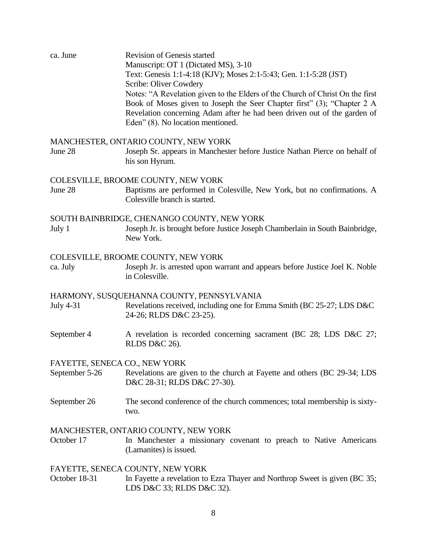| ca. June                                        | Revision of Genesis started<br>Manuscript: OT 1 (Dictated MS), 3-10<br>Text: Genesis 1:1-4:18 (KJV); Moses 2:1-5:43; Gen. 1:1-5:28 (JST)<br>Scribe: Oliver Cowdery<br>Notes: "A Revelation given to the Elders of the Church of Christ On the first<br>Book of Moses given to Joseph the Seer Chapter first" (3); "Chapter 2 A<br>Revelation concerning Adam after he had been driven out of the garden of<br>Eden" (8). No location mentioned. |
|-------------------------------------------------|-------------------------------------------------------------------------------------------------------------------------------------------------------------------------------------------------------------------------------------------------------------------------------------------------------------------------------------------------------------------------------------------------------------------------------------------------|
| June 28                                         | MANCHESTER, ONTARIO COUNTY, NEW YORK<br>Joseph Sr. appears in Manchester before Justice Nathan Pierce on behalf of<br>his son Hyrum.                                                                                                                                                                                                                                                                                                            |
| June 28                                         | COLESVILLE, BROOME COUNTY, NEW YORK<br>Baptisms are performed in Colesville, New York, but no confirmations. A<br>Colesville branch is started.                                                                                                                                                                                                                                                                                                 |
| July 1                                          | SOUTH BAINBRIDGE, CHENANGO COUNTY, NEW YORK<br>Joseph Jr. is brought before Justice Joseph Chamberlain in South Bainbridge,<br>New York.                                                                                                                                                                                                                                                                                                        |
| ca. July                                        | COLESVILLE, BROOME COUNTY, NEW YORK<br>Joseph Jr. is arrested upon warrant and appears before Justice Joel K. Noble<br>in Colesville.                                                                                                                                                                                                                                                                                                           |
| <b>July 4-31</b>                                | HARMONY, SUSQUEHANNA COUNTY, PENNSYLVANIA<br>Revelations received, including one for Emma Smith (BC 25-27; LDS D&C<br>24-26; RLDS D&C 23-25).                                                                                                                                                                                                                                                                                                   |
| September 4                                     | A revelation is recorded concerning sacrament (BC 28; LDS D&C 27;<br><b>RLDS D&amp;C 26).</b>                                                                                                                                                                                                                                                                                                                                                   |
| FAYETTE, SENECA CO., NEW YORK<br>September 5-26 | Revelations are given to the church at Fayette and others (BC 29-34; LDS<br>D&C 28-31; RLDS D&C 27-30).                                                                                                                                                                                                                                                                                                                                         |
| September 26                                    | The second conference of the church commences; total membership is sixty-<br>two.                                                                                                                                                                                                                                                                                                                                                               |
| October 17                                      | MANCHESTER, ONTARIO COUNTY, NEW YORK<br>In Manchester a missionary covenant to preach to Native Americans<br>(Lamanites) is issued.                                                                                                                                                                                                                                                                                                             |
| October 18-31                                   | FAYETTE, SENECA COUNTY, NEW YORK<br>In Fayette a revelation to Ezra Thayer and Northrop Sweet is given (BC 35;<br>LDS D&C 33; RLDS D&C 32).                                                                                                                                                                                                                                                                                                     |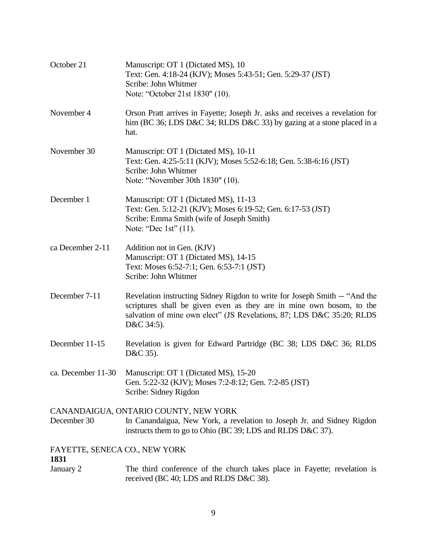| October 21                            | Manuscript: OT 1 (Dictated MS), 10<br>Text: Gen. 4:18-24 (KJV); Moses 5:43-51; Gen. 5:29-37 (JST)<br>Scribe: John Whitmer<br>Note: "October 21st 1830" (10).                                                                              |
|---------------------------------------|-------------------------------------------------------------------------------------------------------------------------------------------------------------------------------------------------------------------------------------------|
| November 4                            | Orson Pratt arrives in Fayette; Joseph Jr. asks and receives a revelation for<br>him (BC 36; LDS D&C 34; RLDS D&C 33) by gazing at a stone placed in a<br>hat.                                                                            |
| November 30                           | Manuscript: OT 1 (Dictated MS), 10-11<br>Text: Gen. 4:25-5:11 (KJV); Moses 5:52-6:18; Gen. 5:38-6:16 (JST)<br>Scribe: John Whitmer<br>Note: "November 30th 1830" (10).                                                                    |
| December 1                            | Manuscript: OT 1 (Dictated MS), 11-13<br>Text: Gen. 5:12-21 (KJV); Moses 6:19-52; Gen. 6:17-53 (JST)<br>Scribe: Emma Smith (wife of Joseph Smith)<br>Note: "Dec 1st" $(11)$ .                                                             |
| ca December 2-11                      | Addition not in Gen. (KJV)<br>Manuscript: OT 1 (Dictated MS), 14-15<br>Text: Moses 6:52-7:1; Gen. 6:53-7:1 (JST)<br>Scribe: John Whitmer                                                                                                  |
| December 7-11                         | Revelation instructing Sidney Rigdon to write for Joseph Smith -- "And the<br>scriptures shall be given even as they are in mine own bosom, to the<br>salvation of mine own elect" (JS Revelations, 87; LDS D&C 35:20; RLDS<br>D&C 34:5). |
| December 11-15                        | Revelation is given for Edward Partridge (BC 38; LDS D&C 36; RLDS<br>D&C 35).                                                                                                                                                             |
|                                       | ca. December 11-30 Manuscript: OT 1 (Dictated MS), 15-20<br>Gen. 5:22-32 (KJV); Moses 7:2-8:12; Gen. 7:2-85 (JST)<br>Scribe: Sidney Rigdon                                                                                                |
| December 30                           | CANANDAIGUA, ONTARIO COUNTY, NEW YORK<br>In Canandaigua, New York, a revelation to Joseph Jr. and Sidney Rigdon<br>instructs them to go to Ohio (BC 39; LDS and RLDS D&C 37).                                                             |
| FAYETTE, SENECA CO., NEW YORK<br>1831 |                                                                                                                                                                                                                                           |
| January 2                             | The third conference of the church takes place in Fayette; revelation is<br>received (BC 40; LDS and RLDS D&C 38).                                                                                                                        |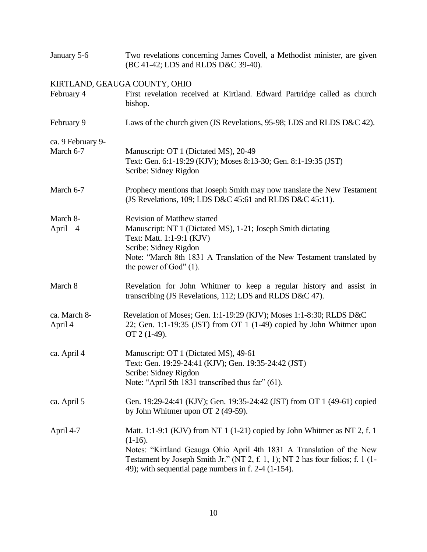| January 5-6             | Two revelations concerning James Covell, a Methodist minister, are given<br>(BC 41-42; LDS and RLDS D&C 39-40).                                                                                                                                                                                             |
|-------------------------|-------------------------------------------------------------------------------------------------------------------------------------------------------------------------------------------------------------------------------------------------------------------------------------------------------------|
|                         | KIRTLAND, GEAUGA COUNTY, OHIO                                                                                                                                                                                                                                                                               |
| February 4              | First revelation received at Kirtland. Edward Partridge called as church<br>bishop.                                                                                                                                                                                                                         |
| February 9              | Laws of the church given (JS Revelations, 95-98; LDS and RLDS D&C 42).                                                                                                                                                                                                                                      |
| ca. 9 February 9-       |                                                                                                                                                                                                                                                                                                             |
| March 6-7               | Manuscript: OT 1 (Dictated MS), 20-49<br>Text: Gen. 6:1-19:29 (KJV); Moses 8:13-30; Gen. 8:1-19:35 (JST)<br>Scribe: Sidney Rigdon                                                                                                                                                                           |
| March 6-7               | Prophecy mentions that Joseph Smith may now translate the New Testament<br>(JS Revelations, 109; LDS D&C 45:61 and RLDS D&C 45:11).                                                                                                                                                                         |
| March 8-<br>April 4     | <b>Revision of Matthew started</b><br>Manuscript: NT 1 (Dictated MS), 1-21; Joseph Smith dictating<br>Text: Matt. 1:1-9:1 (KJV)<br>Scribe: Sidney Rigdon<br>Note: "March 8th 1831 A Translation of the New Testament translated by<br>the power of God" $(1)$ .                                             |
| March 8                 | Revelation for John Whitmer to keep a regular history and assist in<br>transcribing (JS Revelations, 112; LDS and RLDS D&C 47).                                                                                                                                                                             |
| ca. March 8-<br>April 4 | Revelation of Moses; Gen. 1:1-19:29 (KJV); Moses 1:1-8:30; RLDS D&C<br>22; Gen. 1:1-19:35 (JST) from OT 1 (1-49) copied by John Whitmer upon<br>OT 2 (1-49).                                                                                                                                                |
| ca. April 4             | Manuscript: OT 1 (Dictated MS), 49-61<br>Text: Gen. 19:29-24:41 (KJV); Gen. 19:35-24:42 (JST)<br>Scribe: Sidney Rigdon<br>Note: "April 5th 1831 transcribed thus far" (61).                                                                                                                                 |
| ca. April 5             | Gen. 19:29-24:41 (KJV); Gen. 19:35-24:42 (JST) from OT 1 (49-61) copied<br>by John Whitmer upon OT 2 (49-59).                                                                                                                                                                                               |
| April 4-7               | Matt. 1:1-9:1 (KJV) from NT 1 (1-21) copied by John Whitmer as NT 2, f. 1<br>$(1-16)$ .<br>Notes: "Kirtland Geauga Ohio April 4th 1831 A Translation of the New<br>Testament by Joseph Smith Jr." (NT 2, f. 1, 1); NT 2 has four folios; f. 1 (1-<br>49); with sequential page numbers in f. $2-4$ (1-154). |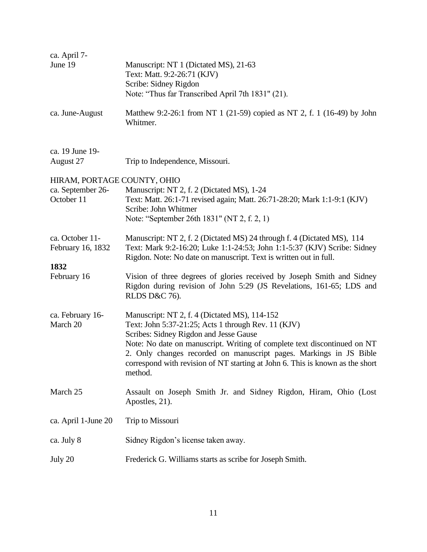| ca. April 7-<br>June 19                                        | Manuscript: NT 1 (Dictated MS), 21-63<br>Text: Matt. 9:2-26:71 (KJV)<br>Scribe: Sidney Rigdon                                                                                                                                                                                                                                                                                                |
|----------------------------------------------------------------|----------------------------------------------------------------------------------------------------------------------------------------------------------------------------------------------------------------------------------------------------------------------------------------------------------------------------------------------------------------------------------------------|
|                                                                | Note: "Thus far Transcribed April 7th 1831" (21).                                                                                                                                                                                                                                                                                                                                            |
| ca. June-August                                                | Matthew 9:2-26:1 from NT 1 (21-59) copied as NT 2, f. 1 (16-49) by John<br>Whitmer.                                                                                                                                                                                                                                                                                                          |
| ca. 19 June 19-<br>August 27                                   | Trip to Independence, Missouri.                                                                                                                                                                                                                                                                                                                                                              |
| HIRAM, PORTAGE COUNTY, OHIO<br>ca. September 26-<br>October 11 | Manuscript: NT 2, f. 2 (Dictated MS), 1-24<br>Text: Matt. 26:1-71 revised again; Matt. 26:71-28:20; Mark 1:1-9:1 (KJV)<br>Scribe: John Whitmer<br>Note: "September 26th 1831" (NT 2, f. 2, 1)                                                                                                                                                                                                |
| ca. October 11-<br>February 16, 1832                           | Manuscript: NT 2, f. 2 (Dictated MS) 24 through f. 4 (Dictated MS), 114<br>Text: Mark 9:2-16:20; Luke 1:1-24:53; John 1:1-5:37 (KJV) Scribe: Sidney<br>Rigdon. Note: No date on manuscript. Text is written out in full.                                                                                                                                                                     |
| 1832<br>February 16                                            | Vision of three degrees of glories received by Joseph Smith and Sidney<br>Rigdon during revision of John 5:29 (JS Revelations, 161-65; LDS and<br>RLDS D&C 76).                                                                                                                                                                                                                              |
| ca. February 16-<br>March 20                                   | Manuscript: NT 2, f. 4 (Dictated MS), 114-152<br>Text: John 5:37-21:25; Acts 1 through Rev. 11 (KJV)<br>Scribes: Sidney Rigdon and Jesse Gause<br>Note: No date on manuscript. Writing of complete text discontinued on NT<br>2. Only changes recorded on manuscript pages. Markings in JS Bible<br>correspond with revision of NT starting at John 6. This is known as the short<br>method. |
| March 25                                                       | Assault on Joseph Smith Jr. and Sidney Rigdon, Hiram, Ohio (Lost<br>Apostles, 21).                                                                                                                                                                                                                                                                                                           |
| ca. April 1-June 20                                            | Trip to Missouri                                                                                                                                                                                                                                                                                                                                                                             |
| ca. July 8                                                     | Sidney Rigdon's license taken away.                                                                                                                                                                                                                                                                                                                                                          |
| July 20                                                        | Frederick G. Williams starts as scribe for Joseph Smith.                                                                                                                                                                                                                                                                                                                                     |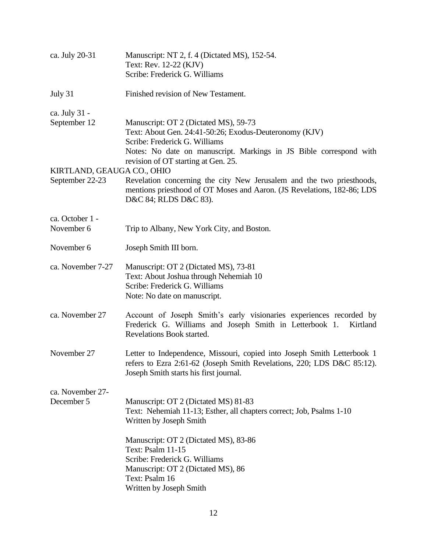| ca. July 20-31                                | Manuscript: NT 2, f. 4 (Dictated MS), 152-54.<br>Text: Rev. 12-22 (KJV)<br>Scribe: Frederick G. Williams                                                                                               |
|-----------------------------------------------|--------------------------------------------------------------------------------------------------------------------------------------------------------------------------------------------------------|
| July 31                                       | Finished revision of New Testament.                                                                                                                                                                    |
| ca. July 31 -                                 |                                                                                                                                                                                                        |
| September 12                                  | Manuscript: OT 2 (Dictated MS), 59-73<br>Text: About Gen. 24:41-50:26; Exodus-Deuteronomy (KJV)<br>Scribe: Frederick G. Williams<br>Notes: No date on manuscript. Markings in JS Bible correspond with |
|                                               | revision of OT starting at Gen. 25.                                                                                                                                                                    |
| KIRTLAND, GEAUGA CO., OHIO<br>September 22-23 | Revelation concerning the city New Jerusalem and the two priesthoods,<br>mentions priesthood of OT Moses and Aaron. (JS Revelations, 182-86; LDS<br>D&C 84; RLDS D&C 83).                              |
| ca. October 1 -                               |                                                                                                                                                                                                        |
| November 6                                    | Trip to Albany, New York City, and Boston.                                                                                                                                                             |
| November 6                                    | Joseph Smith III born.                                                                                                                                                                                 |
| ca. November 7-27                             | Manuscript: OT 2 (Dictated MS), 73-81<br>Text: About Joshua through Nehemiah 10<br>Scribe: Frederick G. Williams<br>Note: No date on manuscript.                                                       |
| ca. November 27                               | Account of Joseph Smith's early visionaries experiences recorded by<br>Frederick G. Williams and Joseph Smith in Letterbook 1.<br>Kirtland<br>Revelations Book started.                                |
| November 27                                   | Letter to Independence, Missouri, copied into Joseph Smith Letterbook 1<br>refers to Ezra 2:61-62 (Joseph Smith Revelations, 220; LDS D&C 85:12).<br>Joseph Smith starts his first journal.            |
| ca. November 27-<br>December 5                | Manuscript: OT 2 (Dictated MS) 81-83<br>Text: Nehemiah 11-13; Esther, all chapters correct; Job, Psalms 1-10<br>Written by Joseph Smith                                                                |
|                                               | Manuscript: OT 2 (Dictated MS), 83-86<br>Text: Psalm 11-15<br>Scribe: Frederick G. Williams<br>Manuscript: OT 2 (Dictated MS), 86<br>Text: Psalm 16<br>Written by Joseph Smith                         |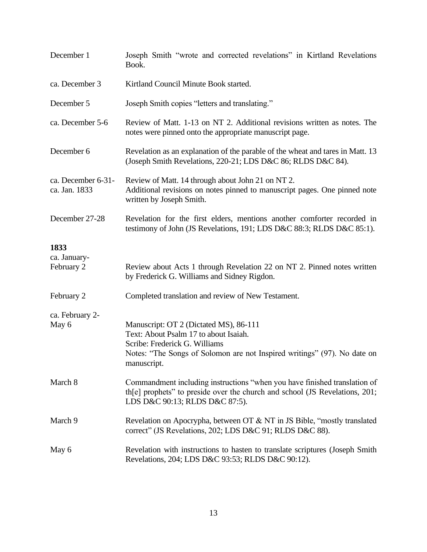| December 1                          | Joseph Smith "wrote and corrected revelations" in Kirtland Revelations<br>Book.                                                                                                                             |
|-------------------------------------|-------------------------------------------------------------------------------------------------------------------------------------------------------------------------------------------------------------|
| ca. December 3                      | Kirtland Council Minute Book started.                                                                                                                                                                       |
| December 5                          | Joseph Smith copies "letters and translating."                                                                                                                                                              |
| ca. December 5-6                    | Review of Matt. 1-13 on NT 2. Additional revisions written as notes. The<br>notes were pinned onto the appropriate manuscript page.                                                                         |
| December 6                          | Revelation as an explanation of the parable of the wheat and tares in Matt. 13<br>(Joseph Smith Revelations, 220-21; LDS D&C 86; RLDS D&C 84).                                                              |
| ca. December 6-31-<br>ca. Jan. 1833 | Review of Matt. 14 through about John 21 on NT 2.<br>Additional revisions on notes pinned to manuscript pages. One pinned note<br>written by Joseph Smith.                                                  |
| December 27-28                      | Revelation for the first elders, mentions another comforter recorded in<br>testimony of John (JS Revelations, 191; LDS D&C 88:3; RLDS D&C 85:1).                                                            |
| 1833<br>ca. January-<br>February 2  | Review about Acts 1 through Revelation 22 on NT 2. Pinned notes written<br>by Frederick G. Williams and Sidney Rigdon.                                                                                      |
| February 2                          | Completed translation and review of New Testament.                                                                                                                                                          |
| ca. February 2-<br>May 6            | Manuscript: OT 2 (Dictated MS), 86-111<br>Text: About Psalm 17 to about Isaiah.<br>Scribe: Frederick G. Williams<br>Notes: "The Songs of Solomon are not Inspired writings" (97). No date on<br>manuscript. |
| March 8                             | Commandment including instructions "when you have finished translation of<br>the prophets" to preside over the church and school (JS Revelations, 201;<br>LDS D&C 90:13; RLDS D&C 87:5).                    |
| March 9                             | Revelation on Apocrypha, between OT & NT in JS Bible, "mostly translated<br>correct" (JS Revelations, 202; LDS D&C 91; RLDS D&C 88).                                                                        |
| May 6                               | Revelation with instructions to hasten to translate scriptures (Joseph Smith<br>Revelations, 204; LDS D&C 93:53; RLDS D&C 90:12).                                                                           |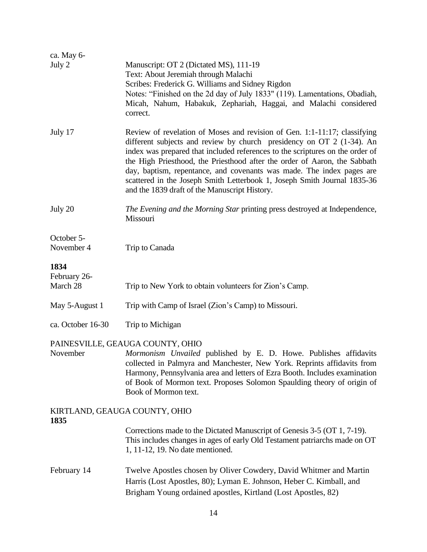| ca. May 6-                    |                                                                                                                                                                                                                                                                                                                                                                                                                                                                                                                        |  |
|-------------------------------|------------------------------------------------------------------------------------------------------------------------------------------------------------------------------------------------------------------------------------------------------------------------------------------------------------------------------------------------------------------------------------------------------------------------------------------------------------------------------------------------------------------------|--|
| July 2                        | Manuscript: OT 2 (Dictated MS), 111-19<br>Text: About Jeremiah through Malachi<br>Scribes: Frederick G. Williams and Sidney Rigdon<br>Notes: "Finished on the 2d day of July 1833" (119). Lamentations, Obadiah,<br>Micah, Nahum, Habakuk, Zephariah, Haggai, and Malachi considered<br>correct.                                                                                                                                                                                                                       |  |
| July 17                       | Review of revelation of Moses and revision of Gen. 1:1-11:17; classifying<br>different subjects and review by church presidency on OT 2 (1-34). An<br>index was prepared that included references to the scriptures on the order of<br>the High Priesthood, the Priesthood after the order of Aaron, the Sabbath<br>day, baptism, repentance, and covenants was made. The index pages are<br>scattered in the Joseph Smith Letterbook 1, Joseph Smith Journal 1835-36<br>and the 1839 draft of the Manuscript History. |  |
| July 20                       | The Evening and the Morning Star printing press destroyed at Independence,<br>Missouri                                                                                                                                                                                                                                                                                                                                                                                                                                 |  |
| October 5-<br>November 4      | Trip to Canada                                                                                                                                                                                                                                                                                                                                                                                                                                                                                                         |  |
| 1834                          |                                                                                                                                                                                                                                                                                                                                                                                                                                                                                                                        |  |
| February 26-<br>March 28      | Trip to New York to obtain volunteers for Zion's Camp.                                                                                                                                                                                                                                                                                                                                                                                                                                                                 |  |
| May 5-August 1                | Trip with Camp of Israel (Zion's Camp) to Missouri.                                                                                                                                                                                                                                                                                                                                                                                                                                                                    |  |
| ca. October 16-30             | Trip to Michigan                                                                                                                                                                                                                                                                                                                                                                                                                                                                                                       |  |
| November                      | PAINESVILLE, GEAUGA COUNTY, OHIO<br>Mormonism Unvailed published by E. D. Howe. Publishes affidavits<br>collected in Palmyra and Manchester, New York. Reprints affidavits from<br>Harmony, Pennsylvania area and letters of Ezra Booth. Includes examination<br>of Book of Mormon text. Proposes Solomon Spaulding theory of origin of<br>Book of Mormon text.                                                                                                                                                        |  |
| KIRTLAND, GEAUGA COUNTY, OHIO |                                                                                                                                                                                                                                                                                                                                                                                                                                                                                                                        |  |
| 1835                          | Corrections made to the Dictated Manuscript of Genesis 3-5 (OT 1, 7-19).<br>This includes changes in ages of early Old Testament patriarchs made on OT<br>1, 11-12, 19. No date mentioned.                                                                                                                                                                                                                                                                                                                             |  |
| February 14                   | Twelve Apostles chosen by Oliver Cowdery, David Whitmer and Martin<br>Harris (Lost Apostles, 80); Lyman E. Johnson, Heber C. Kimball, and<br>Brigham Young ordained apostles, Kirtland (Lost Apostles, 82)                                                                                                                                                                                                                                                                                                             |  |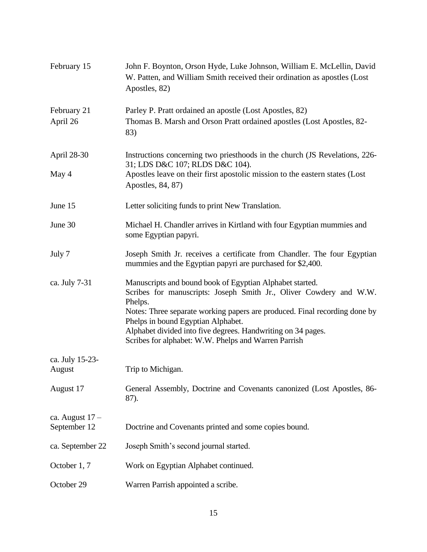| February 15                       | John F. Boynton, Orson Hyde, Luke Johnson, William E. McLellin, David<br>W. Patten, and William Smith received their ordination as apostles (Lost<br>Apostles, 82)                                                                                                                                                                                                                    |
|-----------------------------------|---------------------------------------------------------------------------------------------------------------------------------------------------------------------------------------------------------------------------------------------------------------------------------------------------------------------------------------------------------------------------------------|
| February 21<br>April 26           | Parley P. Pratt ordained an apostle (Lost Apostles, 82)<br>Thomas B. Marsh and Orson Pratt ordained apostles (Lost Apostles, 82-<br>83)                                                                                                                                                                                                                                               |
| April 28-30                       | Instructions concerning two priesthoods in the church (JS Revelations, 226-<br>31; LDS D&C 107; RLDS D&C 104).                                                                                                                                                                                                                                                                        |
| May 4                             | Apostles leave on their first apostolic mission to the eastern states (Lost<br>Apostles, 84, 87)                                                                                                                                                                                                                                                                                      |
| June 15                           | Letter soliciting funds to print New Translation.                                                                                                                                                                                                                                                                                                                                     |
| June 30                           | Michael H. Chandler arrives in Kirtland with four Egyptian mummies and<br>some Egyptian papyri.                                                                                                                                                                                                                                                                                       |
| July 7                            | Joseph Smith Jr. receives a certificate from Chandler. The four Egyptian<br>mummies and the Egyptian papyri are purchased for \$2,400.                                                                                                                                                                                                                                                |
| ca. July 7-31                     | Manuscripts and bound book of Egyptian Alphabet started.<br>Scribes for manuscripts: Joseph Smith Jr., Oliver Cowdery and W.W.<br>Phelps.<br>Notes: Three separate working papers are produced. Final recording done by<br>Phelps in bound Egyptian Alphabet.<br>Alphabet divided into five degrees. Handwriting on 34 pages.<br>Scribes for alphabet: W.W. Phelps and Warren Parrish |
| ca. July 15-23-<br>August         | Trip to Michigan.                                                                                                                                                                                                                                                                                                                                                                     |
| August 17                         | General Assembly, Doctrine and Covenants canonized (Lost Apostles, 86-<br>87).                                                                                                                                                                                                                                                                                                        |
| ca. August $17 -$<br>September 12 | Doctrine and Covenants printed and some copies bound.                                                                                                                                                                                                                                                                                                                                 |
| ca. September 22                  | Joseph Smith's second journal started.                                                                                                                                                                                                                                                                                                                                                |
| October 1, 7                      | Work on Egyptian Alphabet continued.                                                                                                                                                                                                                                                                                                                                                  |
| October 29                        | Warren Parrish appointed a scribe.                                                                                                                                                                                                                                                                                                                                                    |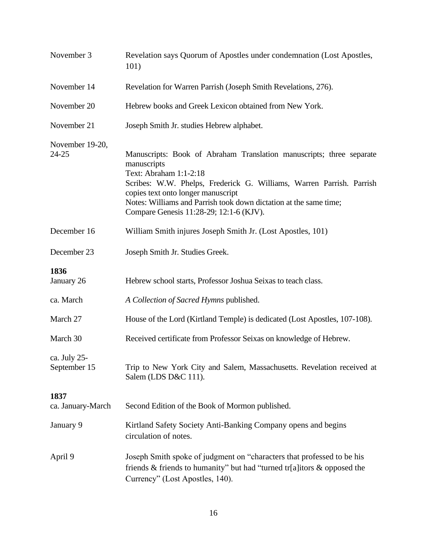| November 3                   | Revelation says Quorum of Apostles under condemnation (Lost Apostles,<br>101)                                                                                                                                                                                                                                                               |
|------------------------------|---------------------------------------------------------------------------------------------------------------------------------------------------------------------------------------------------------------------------------------------------------------------------------------------------------------------------------------------|
| November 14                  | Revelation for Warren Parrish (Joseph Smith Revelations, 276).                                                                                                                                                                                                                                                                              |
| November 20                  | Hebrew books and Greek Lexicon obtained from New York.                                                                                                                                                                                                                                                                                      |
| November 21                  | Joseph Smith Jr. studies Hebrew alphabet.                                                                                                                                                                                                                                                                                                   |
| November 19-20,<br>$24 - 25$ | Manuscripts: Book of Abraham Translation manuscripts; three separate<br>manuscripts<br>Text: Abraham 1:1-2:18<br>Scribes: W.W. Phelps, Frederick G. Williams, Warren Parrish. Parrish<br>copies text onto longer manuscript<br>Notes: Williams and Parrish took down dictation at the same time;<br>Compare Genesis 11:28-29; 12:1-6 (KJV). |
| December 16                  | William Smith injures Joseph Smith Jr. (Lost Apostles, 101)                                                                                                                                                                                                                                                                                 |
| December 23                  | Joseph Smith Jr. Studies Greek.                                                                                                                                                                                                                                                                                                             |
| 1836<br>January 26           | Hebrew school starts, Professor Joshua Seixas to teach class.                                                                                                                                                                                                                                                                               |
| ca. March                    | A Collection of Sacred Hymns published.                                                                                                                                                                                                                                                                                                     |
| March 27                     | House of the Lord (Kirtland Temple) is dedicated (Lost Apostles, 107-108).                                                                                                                                                                                                                                                                  |
| March 30                     | Received certificate from Professor Seixas on knowledge of Hebrew.                                                                                                                                                                                                                                                                          |
| ca. July 25-<br>September 15 | Trip to New York City and Salem, Massachusetts. Revelation received at<br>Salem (LDS D&C 111).                                                                                                                                                                                                                                              |
| 1837<br>ca. January-March    | Second Edition of the Book of Mormon published.                                                                                                                                                                                                                                                                                             |
| January 9                    | Kirtland Safety Society Anti-Banking Company opens and begins<br>circulation of notes.                                                                                                                                                                                                                                                      |
| April 9                      | Joseph Smith spoke of judgment on "characters that professed to be his<br>friends & friends to humanity" but had "turned tr[a]itors & opposed the<br>Currency" (Lost Apostles, 140).                                                                                                                                                        |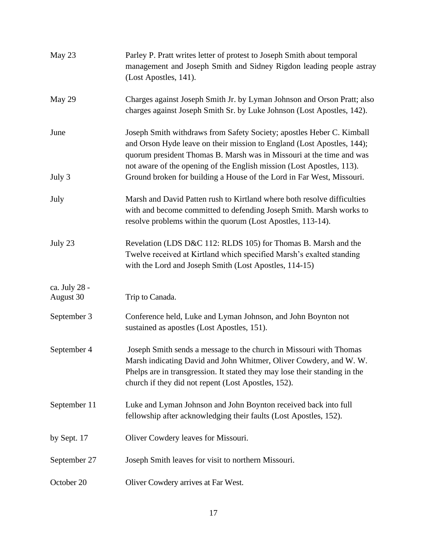| May 23                     | Parley P. Pratt writes letter of protest to Joseph Smith about temporal<br>management and Joseph Smith and Sidney Rigdon leading people astray<br>(Lost Apostles, 141).                                                                                                                          |
|----------------------------|--------------------------------------------------------------------------------------------------------------------------------------------------------------------------------------------------------------------------------------------------------------------------------------------------|
| May 29                     | Charges against Joseph Smith Jr. by Lyman Johnson and Orson Pratt; also<br>charges against Joseph Smith Sr. by Luke Johnson (Lost Apostles, 142).                                                                                                                                                |
| June                       | Joseph Smith withdraws from Safety Society; apostles Heber C. Kimball<br>and Orson Hyde leave on their mission to England (Lost Apostles, 144);<br>quorum president Thomas B. Marsh was in Missouri at the time and was<br>not aware of the opening of the English mission (Lost Apostles, 113). |
| July 3                     | Ground broken for building a House of the Lord in Far West, Missouri.                                                                                                                                                                                                                            |
| July                       | Marsh and David Patten rush to Kirtland where both resolve difficulties<br>with and become committed to defending Joseph Smith. Marsh works to<br>resolve problems within the quorum (Lost Apostles, 113-14).                                                                                    |
| July 23                    | Revelation (LDS D&C 112: RLDS 105) for Thomas B. Marsh and the<br>Twelve received at Kirtland which specified Marsh's exalted standing<br>with the Lord and Joseph Smith (Lost Apostles, 114-15)                                                                                                 |
| ca. July 28 -<br>August 30 | Trip to Canada.                                                                                                                                                                                                                                                                                  |
| September 3                | Conference held, Luke and Lyman Johnson, and John Boynton not<br>sustained as apostles (Lost Apostles, 151).                                                                                                                                                                                     |
| September 4                | Joseph Smith sends a message to the church in Missouri with Thomas<br>Marsh indicating David and John Whitmer, Oliver Cowdery, and W. W.<br>Phelps are in transgression. It stated they may lose their standing in the<br>church if they did not repent (Lost Apostles, 152).                    |
| September 11               | Luke and Lyman Johnson and John Boynton received back into full<br>fellowship after acknowledging their faults (Lost Apostles, 152).                                                                                                                                                             |
| by Sept. 17                | Oliver Cowdery leaves for Missouri.                                                                                                                                                                                                                                                              |
| September 27               | Joseph Smith leaves for visit to northern Missouri.                                                                                                                                                                                                                                              |
| October 20                 | Oliver Cowdery arrives at Far West.                                                                                                                                                                                                                                                              |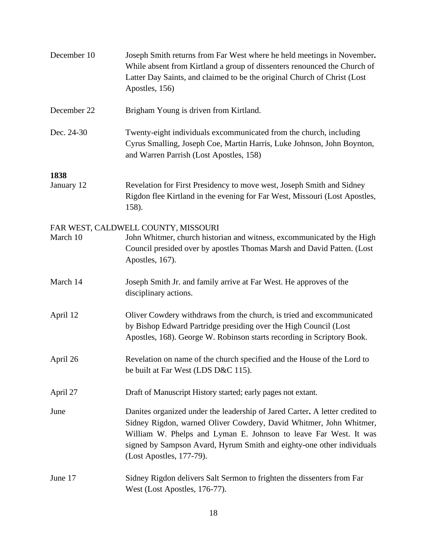| December 10 | Joseph Smith returns from Far West where he held meetings in November.<br>While absent from Kirtland a group of dissenters renounced the Church of<br>Latter Day Saints, and claimed to be the original Church of Christ (Lost<br>Apostles, 156)                                                                            |
|-------------|-----------------------------------------------------------------------------------------------------------------------------------------------------------------------------------------------------------------------------------------------------------------------------------------------------------------------------|
| December 22 | Brigham Young is driven from Kirtland.                                                                                                                                                                                                                                                                                      |
| Dec. 24-30  | Twenty-eight individuals excommunicated from the church, including<br>Cyrus Smalling, Joseph Coe, Martin Harris, Luke Johnson, John Boynton,<br>and Warren Parrish (Lost Apostles, 158)                                                                                                                                     |
| 1838        |                                                                                                                                                                                                                                                                                                                             |
| January 12  | Revelation for First Presidency to move west, Joseph Smith and Sidney<br>Rigdon flee Kirtland in the evening for Far West, Missouri (Lost Apostles,<br>158).                                                                                                                                                                |
| March 10    | FAR WEST, CALDWELL COUNTY, MISSOURI<br>John Whitmer, church historian and witness, excommunicated by the High<br>Council presided over by apostles Thomas Marsh and David Patten. (Lost<br>Apostles, 167).                                                                                                                  |
| March 14    | Joseph Smith Jr. and family arrive at Far West. He approves of the<br>disciplinary actions.                                                                                                                                                                                                                                 |
| April 12    | Oliver Cowdery withdraws from the church, is tried and excommunicated<br>by Bishop Edward Partridge presiding over the High Council (Lost<br>Apostles, 168). George W. Robinson starts recording in Scriptory Book.                                                                                                         |
| April 26    | Revelation on name of the church specified and the House of the Lord to<br>be built at Far West (LDS D&C 115).                                                                                                                                                                                                              |
| April 27    | Draft of Manuscript History started; early pages not extant.                                                                                                                                                                                                                                                                |
| June        | Danites organized under the leadership of Jared Carter. A letter credited to<br>Sidney Rigdon, warned Oliver Cowdery, David Whitmer, John Whitmer,<br>William W. Phelps and Lyman E. Johnson to leave Far West. It was<br>signed by Sampson Avard, Hyrum Smith and eighty-one other individuals<br>(Lost Apostles, 177-79). |
| June 17     | Sidney Rigdon delivers Salt Sermon to frighten the dissenters from Far<br>West (Lost Apostles, 176-77).                                                                                                                                                                                                                     |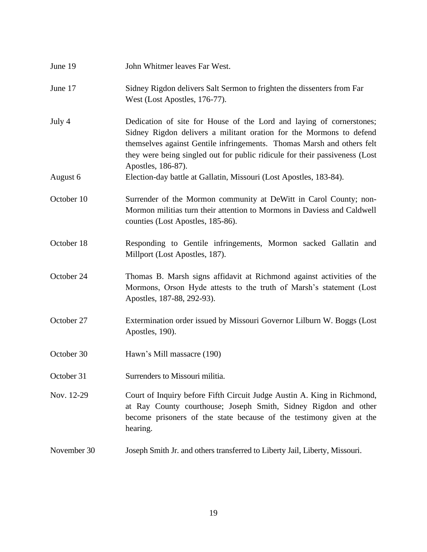| June 19     | John Whitmer leaves Far West.                                                                                                                                                                                                                                                                                              |
|-------------|----------------------------------------------------------------------------------------------------------------------------------------------------------------------------------------------------------------------------------------------------------------------------------------------------------------------------|
| June 17     | Sidney Rigdon delivers Salt Sermon to frighten the dissenters from Far<br>West (Lost Apostles, 176-77).                                                                                                                                                                                                                    |
| July 4      | Dedication of site for House of the Lord and laying of cornerstones;<br>Sidney Rigdon delivers a militant oration for the Mormons to defend<br>themselves against Gentile infringements. Thomas Marsh and others felt<br>they were being singled out for public ridicule for their passiveness (Lost<br>Apostles, 186-87). |
| August 6    | Election-day battle at Gallatin, Missouri (Lost Apostles, 183-84).                                                                                                                                                                                                                                                         |
| October 10  | Surrender of the Mormon community at DeWitt in Carol County; non-<br>Mormon militias turn their attention to Mormons in Daviess and Caldwell<br>counties (Lost Apostles, 185-86).                                                                                                                                          |
| October 18  | Responding to Gentile infringements, Mormon sacked Gallatin and<br>Millport (Lost Apostles, 187).                                                                                                                                                                                                                          |
| October 24  | Thomas B. Marsh signs affidavit at Richmond against activities of the<br>Mormons, Orson Hyde attests to the truth of Marsh's statement (Lost<br>Apostles, 187-88, 292-93).                                                                                                                                                 |
| October 27  | Extermination order issued by Missouri Governor Lilburn W. Boggs (Lost<br>Apostles, 190).                                                                                                                                                                                                                                  |
| October 30  | Hawn's Mill massacre (190)                                                                                                                                                                                                                                                                                                 |
| October 31  | Surrenders to Missouri militia.                                                                                                                                                                                                                                                                                            |
| Nov. 12-29  | Court of Inquiry before Fifth Circuit Judge Austin A. King in Richmond,<br>at Ray County courthouse; Joseph Smith, Sidney Rigdon and other<br>become prisoners of the state because of the testimony given at the<br>hearing.                                                                                              |
| November 30 | Joseph Smith Jr. and others transferred to Liberty Jail, Liberty, Missouri.                                                                                                                                                                                                                                                |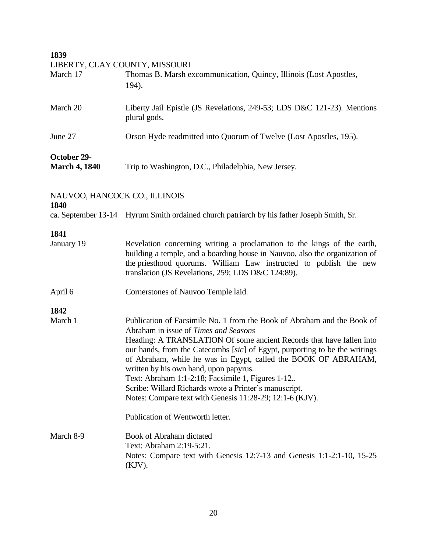**1839**

|  | LIBERTY, CLAY COUNTY, MISSOURI |
|--|--------------------------------|
|  |                                |

| March 17                            | Thomas B. Marsh excommunication, Quincy, Illinois (Lost Apostles,<br>194).              |
|-------------------------------------|-----------------------------------------------------------------------------------------|
| March 20                            | Liberty Jail Epistle (JS Revelations, 249-53; LDS D&C 121-23). Mentions<br>plural gods. |
| June 27                             | Orson Hyde readmitted into Quorum of Twelve (Lost Apostles, 195).                       |
| October 29-<br><b>March 4, 1840</b> | Trip to Washington, D.C., Philadelphia, New Jersey.                                     |

| NAUVOO, HANCOCK CO., ILLINOIS<br>1840 |                                                                                                                                                                                                                                                                                                                                                                                                                                                                                                                                                                                                    |
|---------------------------------------|----------------------------------------------------------------------------------------------------------------------------------------------------------------------------------------------------------------------------------------------------------------------------------------------------------------------------------------------------------------------------------------------------------------------------------------------------------------------------------------------------------------------------------------------------------------------------------------------------|
|                                       | ca. September 13-14 Hyrum Smith ordained church patriarch by his father Joseph Smith, Sr.                                                                                                                                                                                                                                                                                                                                                                                                                                                                                                          |
| 1841                                  |                                                                                                                                                                                                                                                                                                                                                                                                                                                                                                                                                                                                    |
| January 19                            | Revelation concerning writing a proclamation to the kings of the earth,<br>building a temple, and a boarding house in Nauvoo, also the organization of<br>the priesthood quorums. William Law instructed to publish the new<br>translation (JS Revelations, 259; LDS D&C 124:89).                                                                                                                                                                                                                                                                                                                  |
| April 6                               | Cornerstones of Nauvoo Temple laid.                                                                                                                                                                                                                                                                                                                                                                                                                                                                                                                                                                |
| 1842                                  |                                                                                                                                                                                                                                                                                                                                                                                                                                                                                                                                                                                                    |
| March 1                               | Publication of Facsimile No. 1 from the Book of Abraham and the Book of<br>Abraham in issue of Times and Seasons<br>Heading: A TRANSLATION Of some ancient Records that have fallen into<br>our hands, from the Catecombs [sic] of Egypt, purporting to be the writings<br>of Abraham, while he was in Egypt, called the BOOK OF ABRAHAM,<br>written by his own hand, upon papyrus.<br>Text: Abraham 1:1-2:18; Facsimile 1, Figures 1-12<br>Scribe: Willard Richards wrote a Printer's manuscript.<br>Notes: Compare text with Genesis 11:28-29; 12:1-6 (KJV).<br>Publication of Wentworth letter. |
| March 8-9                             | <b>Book of Abraham dictated</b><br>Text: Abraham 2:19-5:21.<br>Notes: Compare text with Genesis 12:7-13 and Genesis 1:1-2:1-10, 15-25<br>$(KJV)$ .                                                                                                                                                                                                                                                                                                                                                                                                                                                 |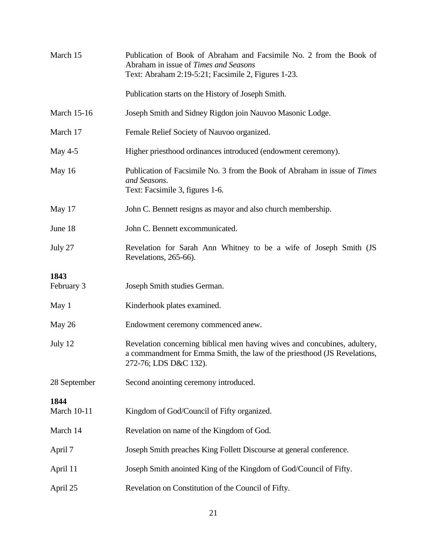| March 15                   | Publication of Book of Abraham and Facsimile No. 2 from the Book of<br>Abraham in issue of Times and Seasons<br>Text: Abraham 2:19-5:21; Facsimile 2, Figures 1-23.            |  |
|----------------------------|--------------------------------------------------------------------------------------------------------------------------------------------------------------------------------|--|
|                            | Publication starts on the History of Joseph Smith.                                                                                                                             |  |
| <b>March 15-16</b>         | Joseph Smith and Sidney Rigdon join Nauvoo Masonic Lodge.                                                                                                                      |  |
| March 17                   | Female Relief Society of Nauvoo organized.                                                                                                                                     |  |
| May $4-5$                  | Higher priesthood ordinances introduced (endowment ceremony).                                                                                                                  |  |
| May 16                     | Publication of Facsimile No. 3 from the Book of Abraham in issue of Times<br>and Seasons.<br>Text: Facsimile 3, figures 1-6.                                                   |  |
| May 17                     | John C. Bennett resigns as mayor and also church membership.                                                                                                                   |  |
| June 18                    | John C. Bennett excommunicated.                                                                                                                                                |  |
| July 27                    | Revelation for Sarah Ann Whitney to be a wife of Joseph Smith (JS<br>Revelations, 265-66).                                                                                     |  |
| 1843<br>February 3         | Joseph Smith studies German.                                                                                                                                                   |  |
| May 1                      | Kinderhook plates examined.                                                                                                                                                    |  |
| May 26                     | Endowment ceremony commenced anew.                                                                                                                                             |  |
| July 12                    | Revelation concerning biblical men having wives and concubines, adultery,<br>a commandment for Emma Smith, the law of the priesthood (JS Revelations,<br>272-76; LDS D&C 132). |  |
| 28 September               | Second anointing ceremony introduced.                                                                                                                                          |  |
| 1844<br><b>March 10-11</b> | Kingdom of God/Council of Fifty organized.                                                                                                                                     |  |
| March 14                   | Revelation on name of the Kingdom of God.                                                                                                                                      |  |
| April 7                    | Joseph Smith preaches King Follett Discourse at general conference.                                                                                                            |  |
| April 11                   | Joseph Smith anointed King of the Kingdom of God/Council of Fifty.                                                                                                             |  |
| April 25                   | Revelation on Constitution of the Council of Fifty.                                                                                                                            |  |